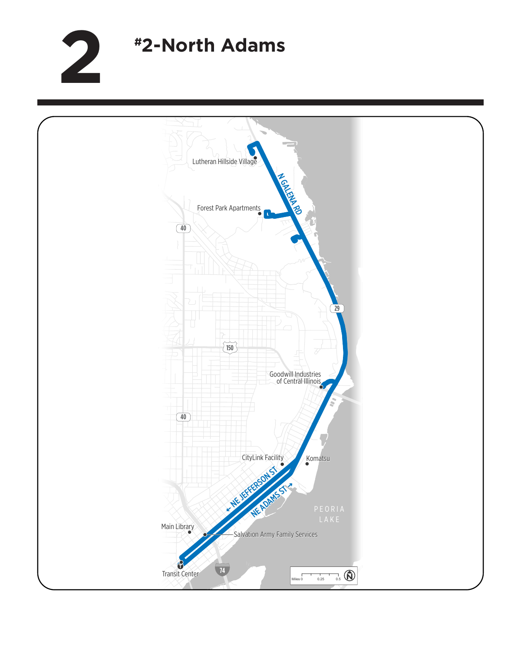